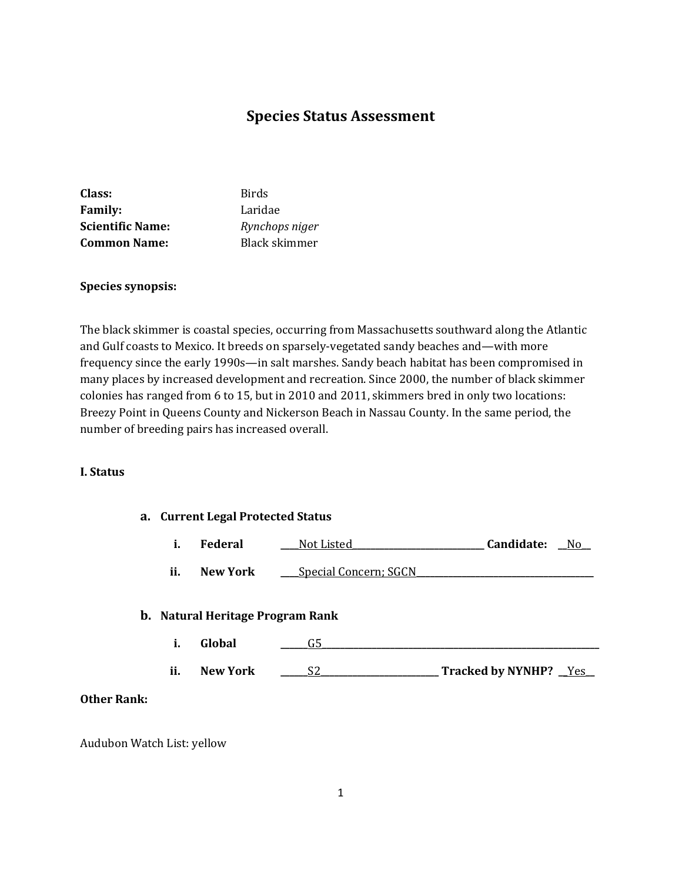# **Species Status Assessment**

| Class:                  | <b>Birds</b>   |
|-------------------------|----------------|
| <b>Family:</b>          | Laridae        |
| <b>Scientific Name:</b> | Rynchops niger |
| <b>Common Name:</b>     | Black skimmer  |

#### **Species synopsis:**

The black skimmer is coastal species, occurring from Massachusetts southward along the Atlantic and Gulf coasts to Mexico. It breeds on sparsely-vegetated sandy beaches and—with more frequency since the early 1990s—in salt marshes. Sandy beach habitat has been compromised in many places by increased development and recreation. Since 2000, the number of black skimmer colonies has ranged from 6 to 15, but in 2010 and 2011, skimmers bred in only two locations: Breezy Point in Queens County and Nickerson Beach in Nassau County. In the same period, the number of breeding pairs has increased overall.

#### **I. Status**

| a. Current Legal Protected Status |                                         |                              |                         |
|-----------------------------------|-----------------------------------------|------------------------------|-------------------------|
| i.                                | Federal                                 | Not Listed                   | Candidate:<br>No.       |
| ii.                               | New York                                | <b>Special Concern; SGCN</b> |                         |
|                                   | <b>b.</b> Natural Heritage Program Rank |                              |                         |
| i.                                | Global                                  | G5                           |                         |
| ii.                               | <b>New York</b>                         | S2                           | Tracked by NYNHP? _Yes_ |

### **Other Rank:**

Audubon Watch List: yellow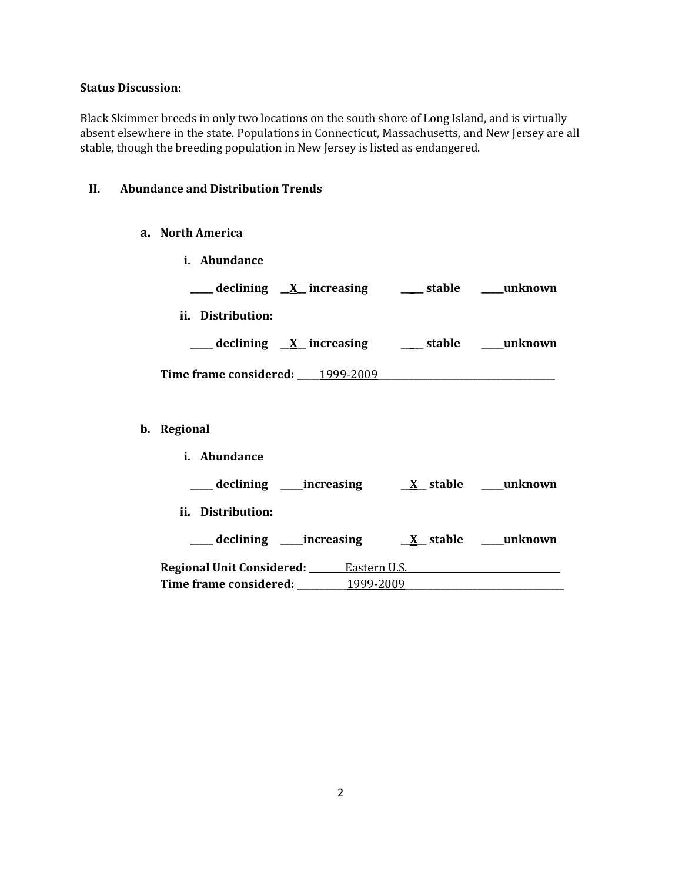## **Status Discussion:**

Black Skimmer breeds in only two locations on the south shore of Long Island, and is virtually absent elsewhere in the state. Populations in Connecticut, Massachusetts, and New Jersey are all stable, though the breeding population in New Jersey is listed as endangered.

### **II. Abundance and Distribution Trends**

## **a. North America**

|             | i. Abundance      |                                                           |  |
|-------------|-------------------|-----------------------------------------------------------|--|
|             |                   | ___ declining <u>X</u> increasing ___ stable ___ unknown  |  |
|             | ii. Distribution: |                                                           |  |
|             |                   | ___ declining <u>X</u> _increasing ___ stable ___ unknown |  |
|             |                   |                                                           |  |
|             |                   |                                                           |  |
| b. Regional |                   |                                                           |  |
|             | i. Abundance      |                                                           |  |
|             |                   |                                                           |  |
|             | ii. Distribution: |                                                           |  |
|             |                   |                                                           |  |
|             |                   | Regional Unit Considered: Eastern U.S.                    |  |
|             |                   |                                                           |  |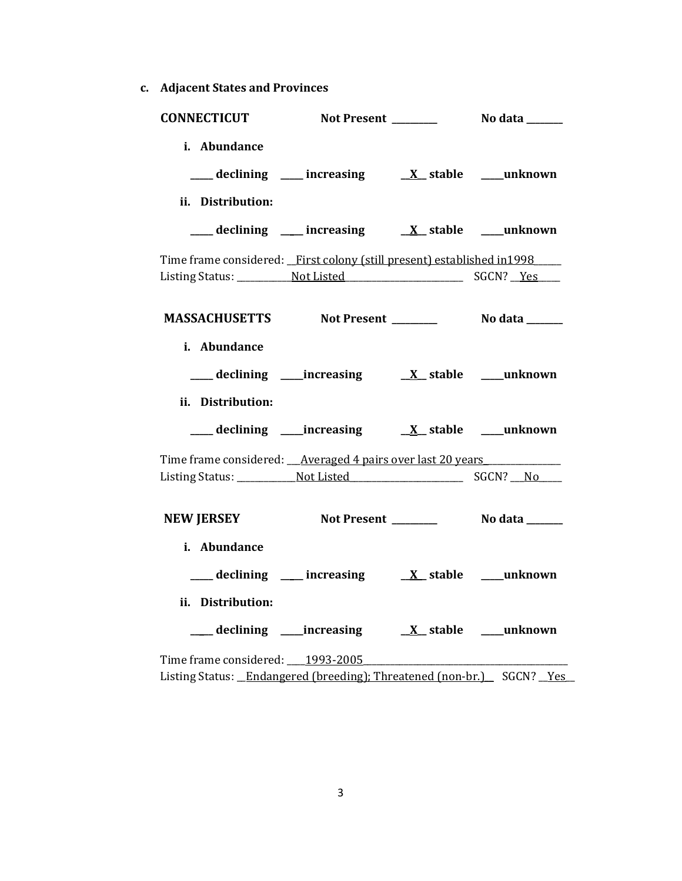**c. Adjacent States and Provinces**

| <b>CONNECTICUT</b>                                                      | Not Present ________                                                                                                                    | No data ______ |
|-------------------------------------------------------------------------|-----------------------------------------------------------------------------------------------------------------------------------------|----------------|
| i. Abundance                                                            | $\frac{1}{\sqrt{1-x^2}}$ declining $\frac{1}{\sqrt{1-x^2}}$ increasing $\frac{1}{\sqrt{1-x^2}}$ stable $\frac{1}{\sqrt{1-x^2}}$ unknown |                |
| ii. Distribution:                                                       |                                                                                                                                         |                |
|                                                                         | ___ declining ___ increasing ___ __ __ __ __ __ __ __ __ __ __ unknown                                                                  |                |
| Time frame considered: First colony (still present) established in 1998 |                                                                                                                                         |                |
|                                                                         |                                                                                                                                         |                |
| MASSACHUSETTS Not Present __________ No data ______                     |                                                                                                                                         |                |
| i. Abundance                                                            |                                                                                                                                         |                |
|                                                                         |                                                                                                                                         |                |
| ii. Distribution:                                                       |                                                                                                                                         |                |
|                                                                         |                                                                                                                                         |                |
| Time frame considered: __Averaged 4 pairs over last 20 years            |                                                                                                                                         |                |
|                                                                         |                                                                                                                                         |                |
| NEW JERSEY Not Present _________ No data ______                         |                                                                                                                                         |                |
| i. Abundance                                                            |                                                                                                                                         |                |
|                                                                         | ___ declining ___ increasing ___ <i>X_</i> stable ___ unknown                                                                           |                |
| ii. Distribution:                                                       |                                                                                                                                         |                |
|                                                                         |                                                                                                                                         |                |
| Time frame considered: 1993-2005                                        |                                                                                                                                         |                |
| Listing Status: Endangered (breeding); Threatened (non-br.) SGCN? Yes   |                                                                                                                                         |                |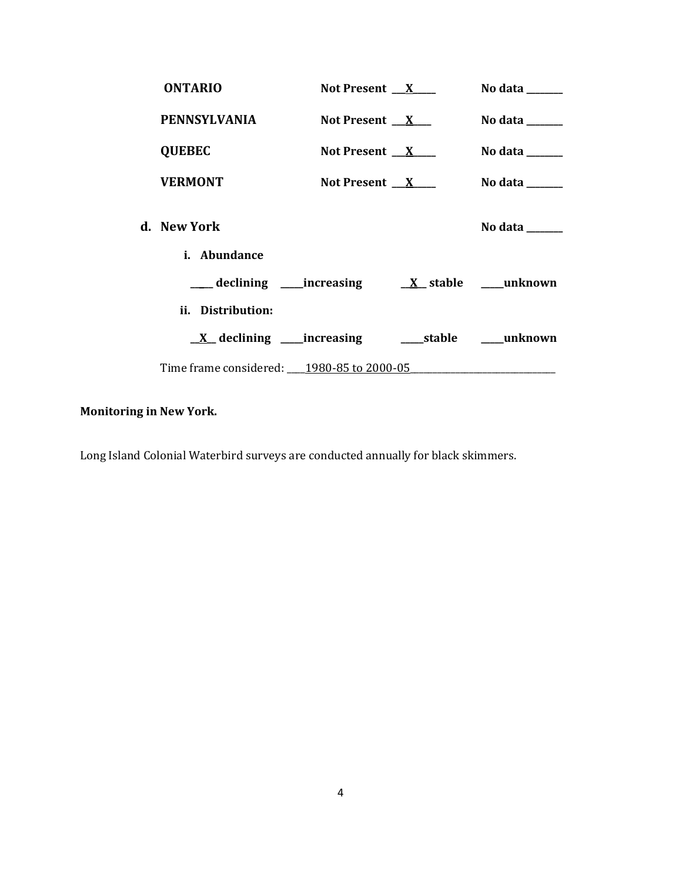| <b>ONTARIO</b>                            | Not Present $X$ | No data ______                             |
|-------------------------------------------|-----------------|--------------------------------------------|
| <b>PENNSYLVANIA</b>                       | Not Present $X$ | No data $\_\_\_\_\_\_\_\_\_\_\_\_\_\_\_\_$ |
| <b>QUEBEC</b>                             | Not Present $X$ | No data $\_\_\_\_\_\_\_\_\_\_\_\_\$        |
| <b>VERMONT</b>                            | Not Present $X$ | No data $\_\_\_\_\_\_\_\_\_\_\_\_\$        |
| d. New York                               |                 | No data ______                             |
| i. Abundance                              |                 |                                            |
|                                           |                 |                                            |
| ii. Distribution:                         |                 |                                            |
|                                           |                 |                                            |
| Time frame considered: 1980-85 to 2000-05 |                 |                                            |

# **Monitoring in New York.**

Long Island Colonial Waterbird surveys are conducted annually for black skimmers.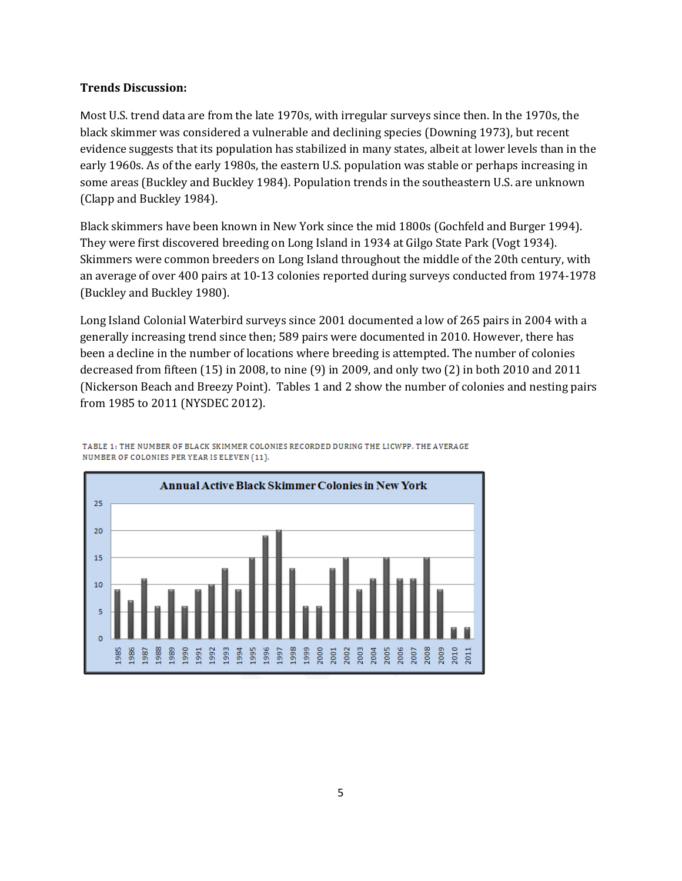### **Trends Discussion:**

Most U.S. trend data are from the late 1970s, with irregular surveys since then. In the 1970s, the black skimmer was considered a vulnerable and declining species [\(Downing 1973\)](http://bna.birds.cornell.edu/bna/species/108/articles/species/108/biblio/bib037), but recent evidence suggests that its population has stabilized in many states, albeit at lower levels than in the early 1960s. As of the early 1980s, the eastern U.S. population was stable or perhaps increasing in some areas (Buckley and Buckley 1984). Population trends in the southeastern U.S. are unknown (Clapp and Buckley 1984).

Black skimmers have been known in New York since the mid 1800s (Gochfeld and Burger 1994). They were first discovered breeding on Long Island in 1934 at Gilgo State Park (Vogt 1934). Skimmers were common breeders on Long Island throughout the middle of the 20th century, with an average of over 400 pairs at 10-13 colonies reported during surveys conducted from 1974-1978 (Buckley and Buckley 1980).

Long Island Colonial Waterbird surveys since 2001 documented a low of 265 pairs in 2004 with a generally increasing trend since then; 589 pairs were documented in 2010. However, there has been a decline in the number of locations where breeding is attempted. The number of colonies decreased from fifteen (15) in 2008, to nine (9) in 2009, and only two (2) in both 2010 and 2011 (Nickerson Beach and Breezy Point). Tables 1 and 2 show the number of colonies and nesting pairs from 1985 to 2011 (NYSDEC 2012).



TABLE 1: THE NUMBER OF BLACK SKIMMER COLONIES RECORDED DURING THE LICWPP. THE AVERAGE NUMBER OF COLONIES PER YEAR IS ELEVEN (11).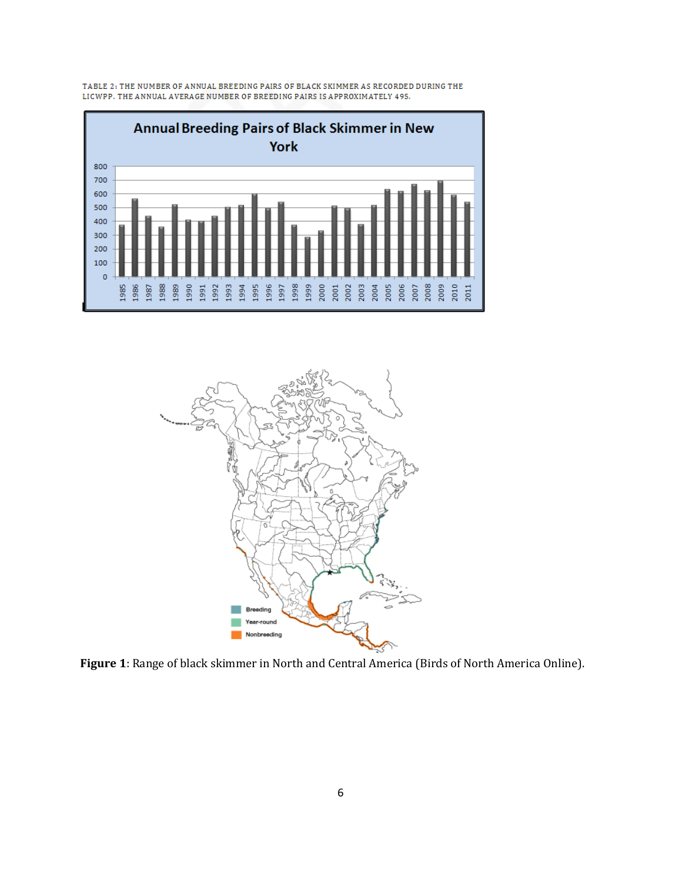

TABLE 2: THE NUMBER OF ANNUAL BREEDING PAIRS OF BLACK SKIMMER AS RECORDED DURING THE LICWPP. THE ANNUAL AVERAGE NUMBER OF BREEDING PAIRS IS APPROXIMATELY 495.



**Figure 1**: Range of black skimmer in North and Central America (Birds of North America Online).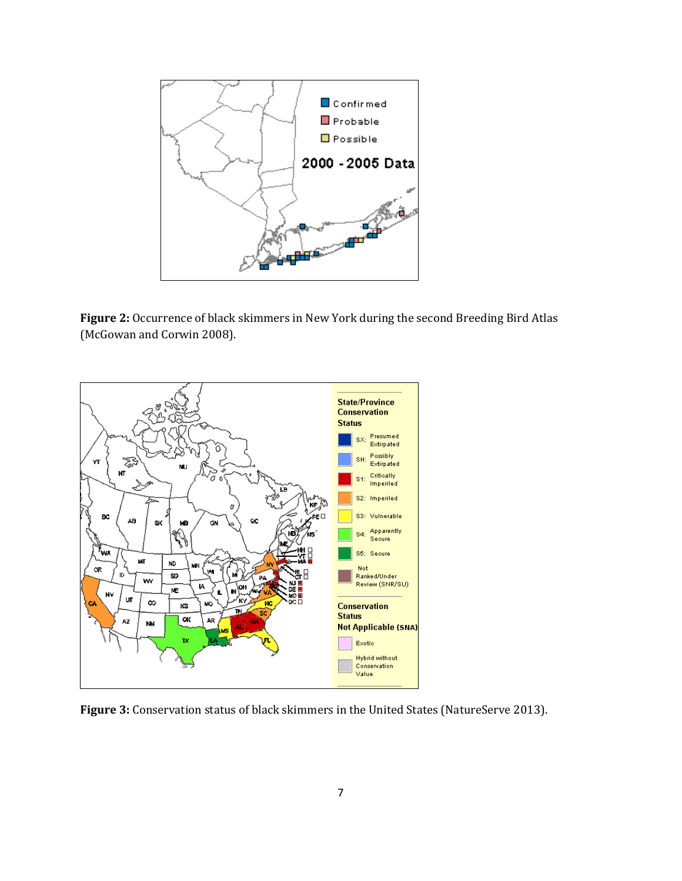

**Figure 2:** Occurrence of black skimmers in New York during the second Breeding Bird Atlas (McGowan and Corwin 2008).



**Figure 3:** Conservation status of black skimmers in the United States (NatureServe 2013).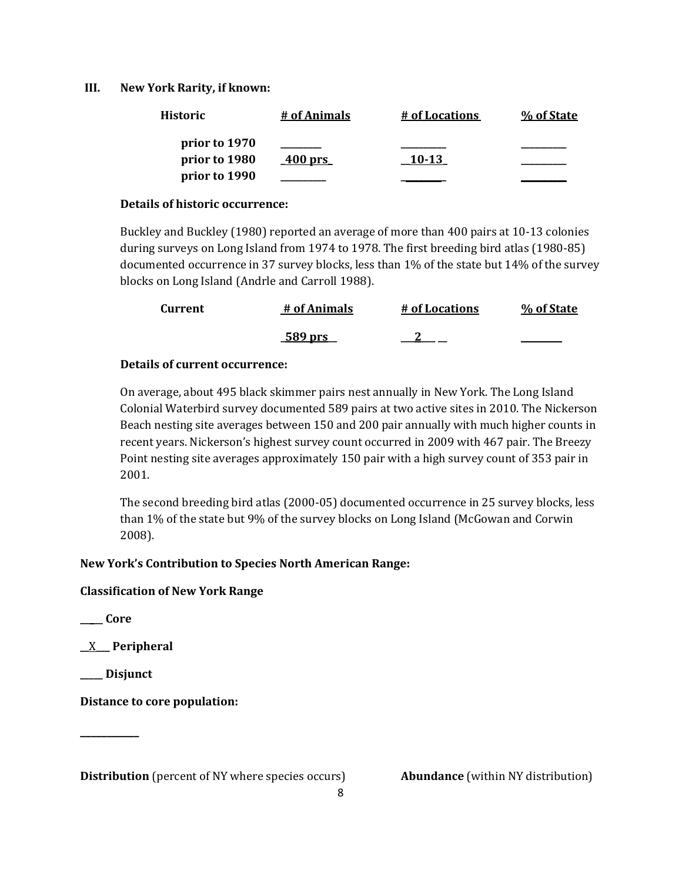## **III. New York Rarity, if known:**

| <b>Historic</b> | # of Animals | # of Locations | % of State |
|-----------------|--------------|----------------|------------|
| prior to 1970   |              |                |            |
| prior to 1980   | 400 prs      | 10-13          |            |
| prior to 1990   |              |                |            |

### **Details of historic occurrence:**

Buckley and Buckley (1980) reported an average of more than 400 pairs at 10-13 colonies during surveys on Long Island from 1974 to 1978. The first breeding bird atlas (1980-85) documented occurrence in 37 survey blocks, less than 1% of the state but 14% of the survey blocks on Long Island (Andrle and Carroll 1988).

| <b>Current</b> | # of Animals   | # of Locations | % of State |
|----------------|----------------|----------------|------------|
|                | <u>589 prs</u> |                |            |

## **Details of current occurrence:**

On average, about 495 black skimmer pairs nest annually in New York. The Long Island Colonial Waterbird survey documented 589 pairs at two active sites in 2010. The Nickerson Beach nesting site averages between 150 and 200 pair annually with much higher counts in recent years. Nickerson's highest survey count occurred in 2009 with 467 pair. The Breezy Point nesting site averages approximately 150 pair with a high survey count of 353 pair in 2001.

The second breeding bird atlas (2000-05) documented occurrence in 25 survey blocks, less than 1% of the state but 9% of the survey blocks on Long Island (McGowan and Corwin 2008).

# **New York's Contribution to Species North American Range:**

# **Classification of New York Range**

**\_\_\_\_\_ Core**

**\_\_**X**\_\_\_ Peripheral**

**\_\_\_\_\_ Disjunct**

**\_\_\_\_\_\_\_\_\_\_\_**

**Distance to core population:**

**Distribution** (percent of NY where species occurs) **Abundance** (within NY distribution)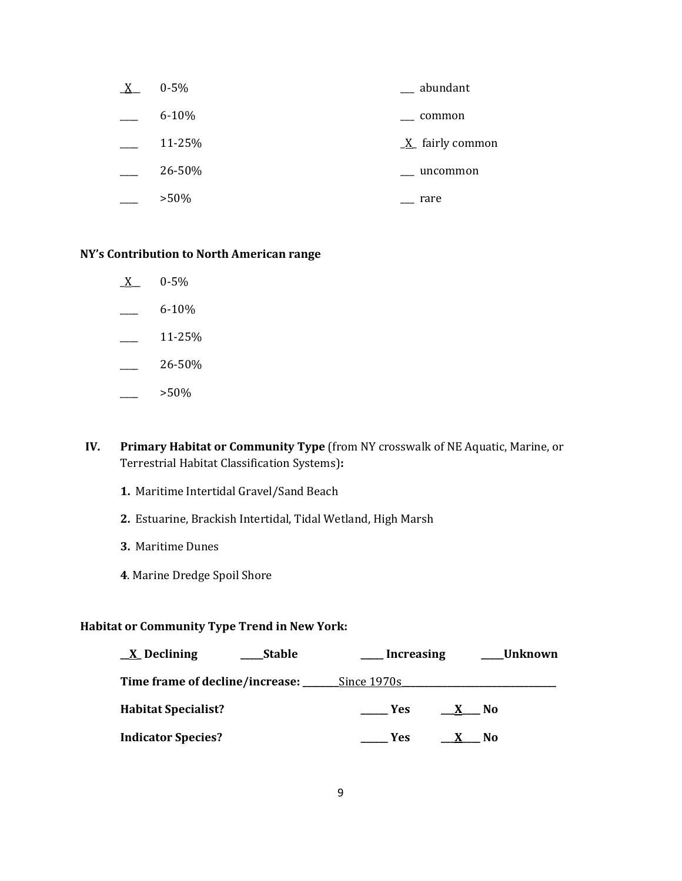| X | $0 - 5\%$ | __ abundant                   |
|---|-----------|-------------------------------|
|   | $6 - 10%$ | common                        |
|   | 11-25%    | $\underline{X}$ fairly common |
|   | 26-50%    | uncommon                      |
|   | $>50\%$   | rare                          |

#### **NY's Contribution to North American range**

- $X$  0-5%
- $6 10\%$
- $\frac{11-25}{6}$
- $-26-50%$
- $>50\%$
- **IV. Primary Habitat or Community Type** (from NY crosswalk of NE Aquatic, Marine, or Terrestrial Habitat Classification Systems)**:** 
	- **1.** Maritime Intertidal Gravel/Sand Beach
	- **2.** Estuarine, Brackish Intertidal, Tidal Wetland, High Marsh
	- **3.** Maritime Dunes
	- **4**. Marine Dredge Spoil Shore

# **Habitat or Community Type Trend in New York:**

| $\underline{X}$ Declining<br><b>Stable</b> | <b>Increasing</b>          | Unknown        |
|--------------------------------------------|----------------------------|----------------|
| Time frame of decline/increase: ___        | Since 1970s                |                |
| <b>Habitat Specialist?</b>                 | <b>Yes</b><br>$\mathbf{X}$ | - No           |
| <b>Indicator Species?</b>                  | Yes                        | N <sub>0</sub> |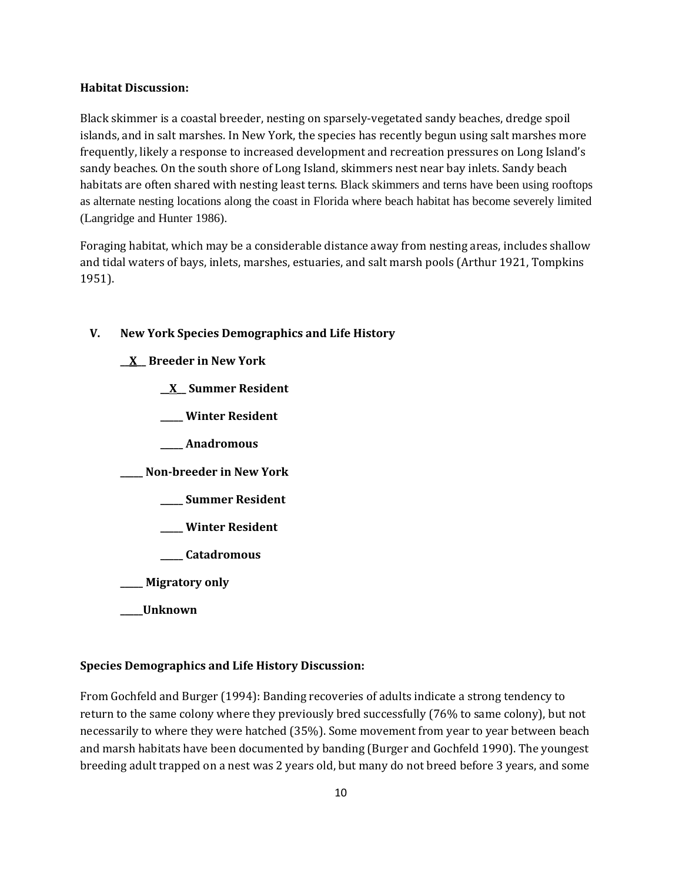#### **Habitat Discussion:**

Black skimmer is a coastal breeder, nesting on sparsely-vegetated sandy beaches, dredge spoil islands, and in salt marshes. In New York, the species has recently begun using salt marshes more frequently, likely a response to increased development and recreation pressures on Long Island's sandy beaches. On the south shore of Long Island, skimmers nest near bay inlets. Sandy beach habitats are often shared with nesting least terns. Black skimmers and terns have been using rooftops as alternate nesting locations along the coast in Florida where beach habitat has become severely limited (Langridge and Hunter 1986).

Foraging habitat, which may be a considerable distance away from nesting areas, includes shallow and tidal waters of bays, inlets, marshes, estuaries, and salt marsh pools (Arthur 1921, Tompkins 1951).

## **V. New York Species Demographics and Life History**

**\_\_X\_\_ Breeder in New York**

**\_\_X\_\_ Summer Resident**

**\_\_\_\_\_ Winter Resident**

**\_\_\_\_\_ Anadromous**

**\_\_\_\_\_ Non-breeder in New York**

- **\_\_\_\_\_ Summer Resident**
- **\_\_\_\_\_ Winter Resident**
- **\_\_\_\_\_ Catadromous**
- **\_\_\_\_\_ Migratory only**
- **\_\_\_\_\_Unknown**

### **Species Demographics and Life History Discussion:**

From Gochfeld and Burger (1994): Banding recoveries of adults indicate a strong tendency to return to the same colony where they previously bred successfully (76% to same colony), but not necessarily to where they were hatched (35%). Some movement from year to year between beach and marsh habitats have been documented by banding (Burger and Gochfeld 1990). The youngest breeding adult trapped on a nest was 2 years old, but many do not breed before 3 years, and some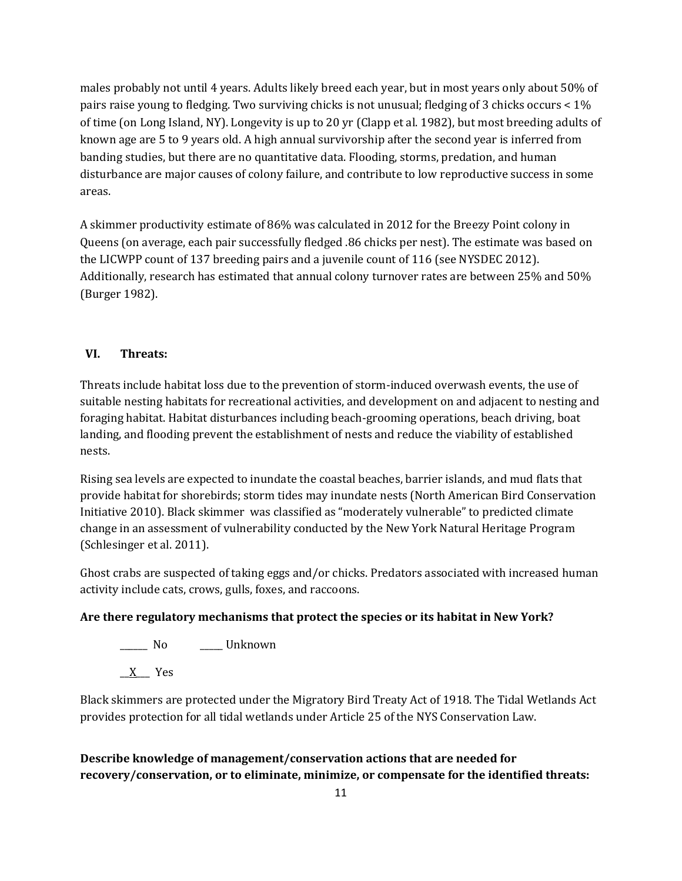males probably not until 4 years. Adults likely breed each year, but in most years only about 50% of pairs raise young to fledging. Two surviving chicks is not unusual; fledging of 3 chicks occurs < 1% of time (on Long Island, NY). Longevity is up to 20 yr (Clapp et al. 1982), but most breeding adults of known age are 5 to 9 years old. A high annual survivorship after the second year is inferred from banding studies, but there are no quantitative data. Flooding, storms, predation, and human disturbance are major causes of colony failure, and contribute to low reproductive success in some areas.

A skimmer productivity estimate of 86% was calculated in 2012 for the Breezy Point colony in Queens (on average, each pair successfully fledged .86 chicks per nest). The estimate was based on the LICWPP count of 137 breeding pairs and a juvenile count of 116 (see NYSDEC 2012). Additionally, research has estimated that annual colony turnover rates are between 25% and 50% (Burger 1982).

# **VI. Threats:**

Threats include habitat loss due to the prevention of storm-induced overwash events, the use of suitable nesting habitats for recreational activities, and development on and adjacent to nesting and foraging habitat. Habitat disturbances including beach-grooming operations, beach driving, boat landing, and flooding prevent the establishment of nests and reduce the viability of established nests.

Rising sea levels are expected to inundate the coastal beaches, barrier islands, and mud flats that provide habitat for shorebirds; storm tides may inundate nests (North American Bird Conservation Initiative 2010). Black skimmer was classified as "moderately vulnerable" to predicted climate change in an assessment of vulnerability conducted by the New York Natural Heritage Program (Schlesinger et al. 2011).

Ghost crabs are suspected of taking eggs and/or chicks. Predators associated with increased human activity include cats, crows, gulls, foxes, and raccoons.

# **Are there regulatory mechanisms that protect the species or its habitat in New York?**

\_\_\_\_\_\_ No \_\_\_\_\_ Unknown

 $X$  Yes

Black skimmers are protected under the Migratory Bird Treaty Act of 1918. The Tidal Wetlands Act provides protection for all tidal wetlands under Article 25 of the NYS Conservation Law.

# **Describe knowledge of management/conservation actions that are needed for recovery/conservation, or to eliminate, minimize, or compensate for the identified threats:**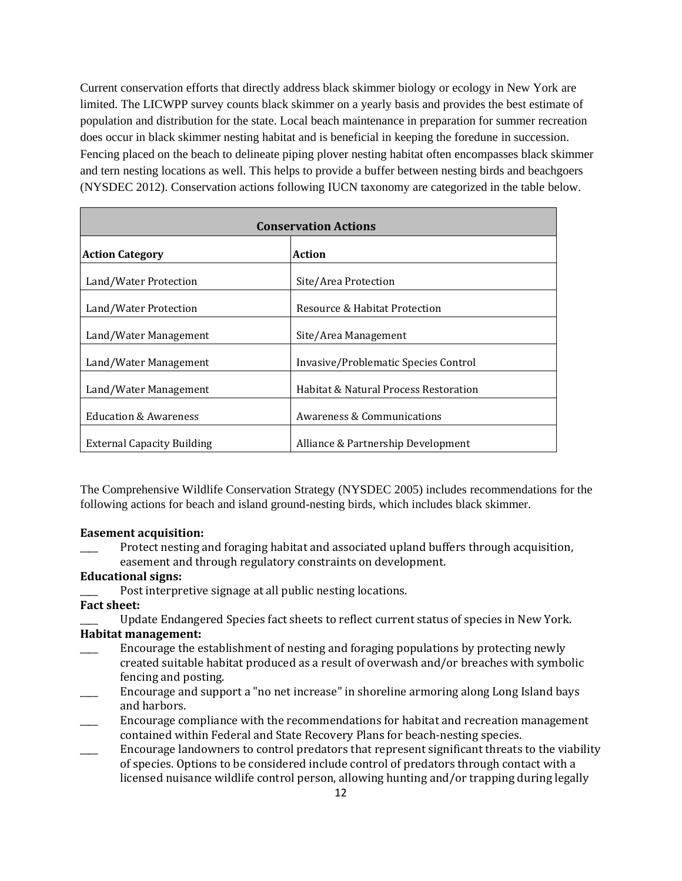Current conservation efforts that directly address black skimmer biology or ecology in New York are limited. The LICWPP survey counts black skimmer on a yearly basis and provides the best estimate of population and distribution for the state. Local beach maintenance in preparation for summer recreation does occur in black skimmer nesting habitat and is beneficial in keeping the foredune in succession. Fencing placed on the beach to delineate piping plover nesting habitat often encompasses black skimmer and tern nesting locations as well. This helps to provide a buffer between nesting birds and beachgoers (NYSDEC 2012). Conservation actions following IUCN taxonomy are categorized in the table below.

| <b>Conservation Actions</b>       |                                       |  |
|-----------------------------------|---------------------------------------|--|
| <b>Action Category</b>            | Action                                |  |
| Land/Water Protection             | Site/Area Protection                  |  |
| Land/Water Protection             | Resource & Habitat Protection         |  |
| Land/Water Management             | Site/Area Management                  |  |
| Land/Water Management             | Invasive/Problematic Species Control  |  |
| Land/Water Management             | Habitat & Natural Process Restoration |  |
| <b>Education &amp; Awareness</b>  | Awareness & Communications            |  |
| <b>External Capacity Building</b> | Alliance & Partnership Development    |  |

The Comprehensive Wildlife Conservation Strategy (NYSDEC 2005) includes recommendations for the following actions for beach and island ground-nesting birds, which includes black skimmer.

#### **Easement acquisition:**

Protect nesting and foraging habitat and associated upland buffers through acquisition, easement and through regulatory constraints on development.

### **Educational signs:**

Post interpretive signage at all public nesting locations.

#### **Fact sheet:**

\_\_\_\_ Update Endangered Species fact sheets to reflect current status of species in New York.

#### **Habitat management:**

- Encourage the establishment of nesting and foraging populations by protecting newly created suitable habitat produced as a result of overwash and/or breaches with symbolic fencing and posting.
- \_\_\_\_ Encourage and support a "no net increase" in shoreline armoring along Long Island bays and harbors.
- \_\_\_\_ Encourage compliance with the recommendations for habitat and recreation management contained within Federal and State Recovery Plans for beach-nesting species.
- \_\_\_\_ Encourage landowners to control predators that represent significant threats to the viability of species. Options to be considered include control of predators through contact with a licensed nuisance wildlife control person, allowing hunting and/or trapping during legally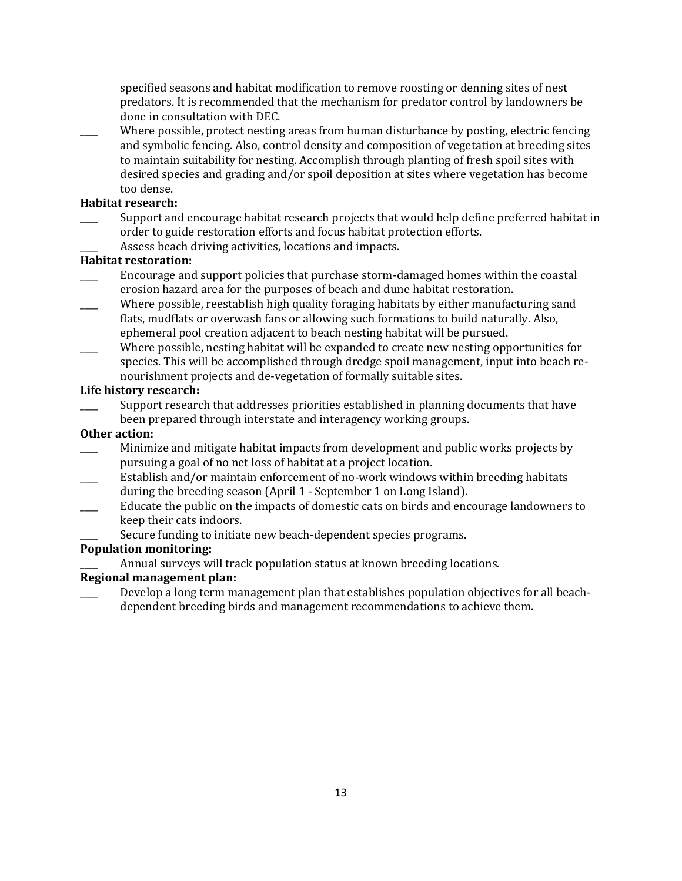specified seasons and habitat modification to remove roosting or denning sites of nest predators. It is recommended that the mechanism for predator control by landowners be done in consultation with DEC.

Where possible, protect nesting areas from human disturbance by posting, electric fencing and symbolic fencing. Also, control density and composition of vegetation at breeding sites to maintain suitability for nesting. Accomplish through planting of fresh spoil sites with desired species and grading and/or spoil deposition at sites where vegetation has become too dense.

#### **Habitat research:**

- Support and encourage habitat research projects that would help define preferred habitat in order to guide restoration efforts and focus habitat protection efforts.
	- Assess beach driving activities, locations and impacts.

### **Habitat restoration:**

- Encourage and support policies that purchase storm-damaged homes within the coastal erosion hazard area for the purposes of beach and dune habitat restoration.
- Where possible, reestablish high quality foraging habitats by either manufacturing sand flats, mudflats or overwash fans or allowing such formations to build naturally. Also, ephemeral pool creation adjacent to beach nesting habitat will be pursued.
- Where possible, nesting habitat will be expanded to create new nesting opportunities for species. This will be accomplished through dredge spoil management, input into beach renourishment projects and de-vegetation of formally suitable sites.

#### **Life history research:**

Support research that addresses priorities established in planning documents that have been prepared through interstate and interagency working groups.

#### **Other action:**

- \_\_\_\_ Minimize and mitigate habitat impacts from development and public works projects by pursuing a goal of no net loss of habitat at a project location.
- Establish and/or maintain enforcement of no-work windows within breeding habitats during the breeding season (April 1 - September 1 on Long Island).
- \_\_\_\_ Educate the public on the impacts of domestic cats on birds and encourage landowners to keep their cats indoors.
	- Secure funding to initiate new beach-dependent species programs.

#### **Population monitoring:**

Annual surveys will track population status at known breeding locations.

# **Regional management plan:**

Develop a long term management plan that establishes population objectives for all beachdependent breeding birds and management recommendations to achieve them.